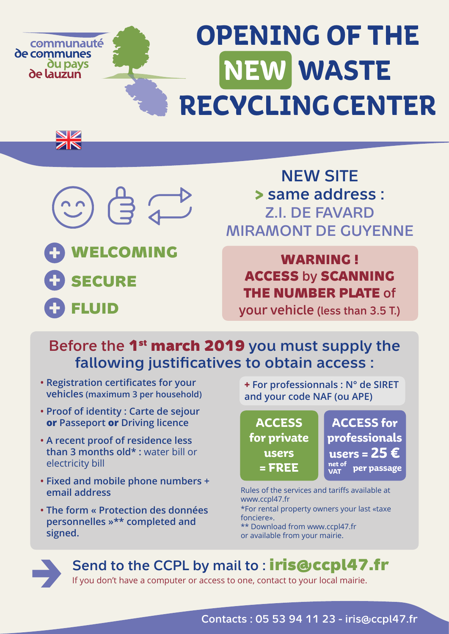#### **OPENING OF THE**  communauté de communes **NEW WASTE du pays** de lauzun **RECYCLING CENTER**



NZ  ${\bf Z}$ 

**WELCOMING SECURE FLUID**

## NEW SITE **>** same address : Z.I. DE FAVARD MIRAMONT DE GUYENNE

## **WARNING ! ACCESS** by **SCANNING THE NUMBER PLATE** of

your vehicle (less than 3.5 T.)

### Before the **1st march 2019** you must supply the fallowing justificatives to obtain access :

- **Registration certificates for your vehicles (maximum 3 per household)**
- **Proof of identity : Carte de sejour or Passeport or Driving licence**
- **A recent proof of residence less than 3 months old\* :** water bill or electricity bill
- **Fixed and mobile phone numbers + email address**
- **The form « Protection des données personnelles »\*\* completed and signed.**

**+ For professionnals : N° de SIRET and your code NAF (ou APE)**

**ACCESS for private users = FREE**

**ACCESS for professionals users = 25 € per passage net of VAT**

\*For rental property owners your last «taxe fonciere». \*\* Download from www.ccpl47.fr or available from your mairie. Rules of the services and tariffs available at www.ccpl47.fr



Send to the CCPL by mail to : **iris@ccpl47.fr**

If you don't have a computer or access to one, contact to your local mairie.